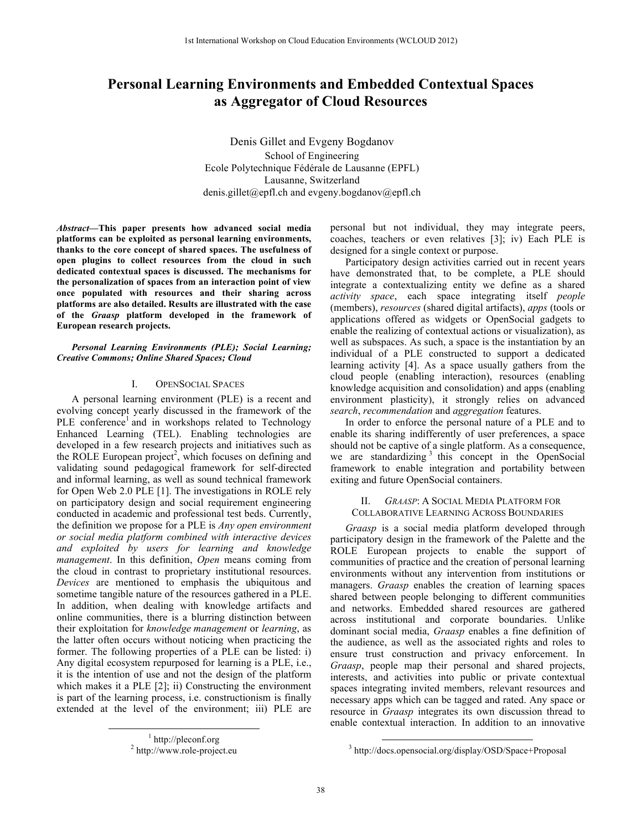# **Personal Learning Environments and Embedded Contextual Spaces as Aggregator of Cloud Resources**

Denis Gillet and Evgeny Bogdanov School of Engineering Ecole Polytechnique Fédérale de Lausanne (EPFL) Lausanne, Switzerland denis.gillet@epfl.ch and evgeny.bogdanov@epfl.ch

*Abstract***—This paper presents how advanced social media platforms can be exploited as personal learning environments, thanks to the core concept of shared spaces. The usefulness of open plugins to collect resources from the cloud in such dedicated contextual spaces is discussed. The mechanisms for the personalization of spaces from an interaction point of view once populated with resources and their sharing across platforms are also detailed. Results are illustrated with the case of the** *Graasp* **platform developed in the framework of European research projects.**

## *Personal Learning Environments (PLE); Social Learning; Creative Commons; Online Shared Spaces; Cloud*

#### I. OPENSOCIAL SPACES

A personal learning environment (PLE) is a recent and evolving concept yearly discussed in the framework of the PLE conference<sup>1</sup> and in workshops related to Technology Enhanced Learning (TEL). Enabling technologies are developed in a few research projects and initiatives such as the ROLE European project<sup>2</sup>, which focuses on defining and validating sound pedagogical framework for self-directed and informal learning, as well as sound technical framework for Open Web 2.0 PLE [1]. The investigations in ROLE rely on participatory design and social requirement engineering conducted in academic and professional test beds. Currently, the definition we propose for a PLE is *Any open environment or social media platform combined with interactive devices and exploited by users for learning and knowledge management*. In this definition, *Open* means coming from the cloud in contrast to proprietary institutional resources. *Devices* are mentioned to emphasis the ubiquitous and sometime tangible nature of the resources gathered in a PLE. In addition, when dealing with knowledge artifacts and online communities, there is a blurring distinction between their exploitation for *knowledge management* or *learning*, as the latter often occurs without noticing when practicing the former. The following properties of a PLE can be listed: i) Any digital ecosystem repurposed for learning is a PLE, i.e., it is the intention of use and not the design of the platform which makes it a PLE [2]; ii) Constructing the environment is part of the learning process, i.e. constructionism is finally extended at the level of the environment; iii) PLE are

personal but not individual, they may integrate peers, coaches, teachers or even relatives [3]; iv) Each PLE is designed for a single context or purpose.

Participatory design activities carried out in recent years have demonstrated that, to be complete, a PLE should integrate a contextualizing entity we define as a shared *activity space*, each space integrating itself *people* (members), *resources* (shared digital artifacts), *apps* (tools or applications offered as widgets or OpenSocial gadgets to enable the realizing of contextual actions or visualization), as well as subspaces. As such, a space is the instantiation by an individual of a PLE constructed to support a dedicated learning activity [4]. As a space usually gathers from the cloud people (enabling interaction), resources (enabling knowledge acquisition and consolidation) and apps (enabling environment plasticity), it strongly relies on advanced *search*, *recommendation* and *aggregation* features.

In order to enforce the personal nature of a PLE and to enable its sharing indifferently of user preferences, a space should not be captive of a single platform. As a consequence, we are standardizing  $3$  this concept in the OpenSocial framework to enable integration and portability between exiting and future OpenSocial containers.

## II. *GRAASP*: A SOCIAL MEDIA PLATFORM FOR COLLABORATIVE LEARNING ACROSS BOUNDARIES

*Graasp* is a social media platform developed through participatory design in the framework of the Palette and the ROLE European projects to enable the support of communities of practice and the creation of personal learning environments without any intervention from institutions or managers. *Graasp* enables the creation of learning spaces shared between people belonging to different communities and networks. Embedded shared resources are gathered across institutional and corporate boundaries. Unlike dominant social media, *Graasp* enables a fine definition of the audience, as well as the associated rights and roles to ensure trust construction and privacy enforcement. In *Graasp*, people map their personal and shared projects, interests, and activities into public or private contextual spaces integrating invited members, relevant resources and necessary apps which can be tagged and rated. Any space or resource in *Graasp* integrates its own discussion thread to enable contextual interaction. In addition to an innovative

<sup>&</sup>lt;u>1</u>  $\frac{1}{2}$  http://pleconf.org http://www.role-project.eu

 <sup>3</sup> http://docs.opensocial.org/display/OSD/Space+Proposal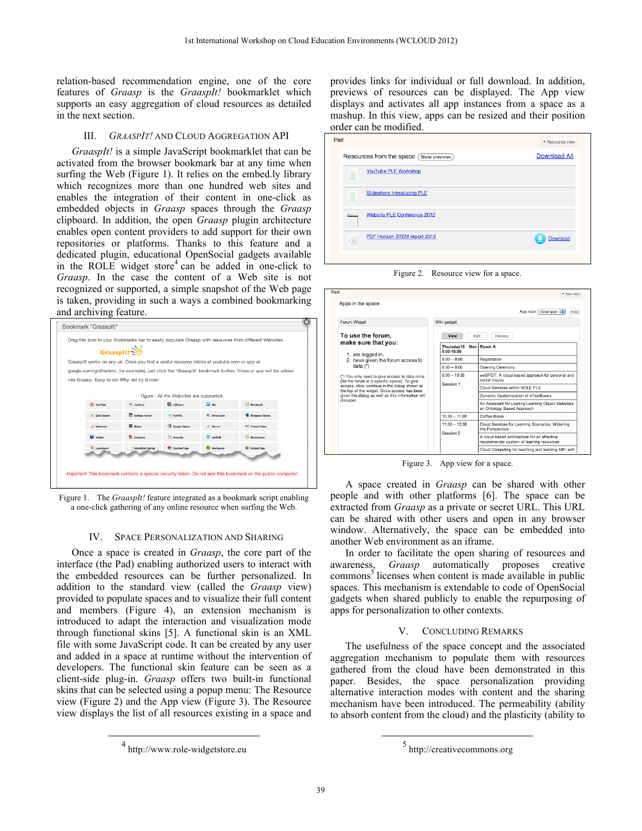relation-based recommendation engine, one of the core features of *Graasp* is the *GraaspIt!* bookmarklet which supports an easy aggregation of cloud resources as detailed in the next section.

#### III. *GRAASPIT!* AND CLOUD AGGREGATION API

*GraaspIt!* is a simple JavaScript bookmarklet that can be activated from the browser bookmark bar at any time when surfing the Web (Figure 1). It relies on the embed.ly library which recognizes more than one hundred web sites and enables the integration of their content in one-click as embedded objects in *Graasp* spaces through the *Graasp* clipboard. In addition, the open *Graasp* plugin architecture enables open content providers to add support for their own repositories or platforms. Thanks to this feature and a dedicated plugin, educational OpenSocial gadgets available in the ROLE widget store<sup>4</sup> can be added in one-click to *Graasp*. In the case the content of a Web site is not recognized or supported, a simple snapshot of the Web page is taken, providing in such a ways a combined bookmarking and archiving feature.

|                       | Graaspit!~                                                                                  |                                         |                   |                                                                                                               |
|-----------------------|---------------------------------------------------------------------------------------------|-----------------------------------------|-------------------|---------------------------------------------------------------------------------------------------------------|
|                       | Graasplt! works on any url. Once you find a useful resource (video at youtube.com or app at |                                         |                   |                                                                                                               |
|                       |                                                                                             |                                         |                   | google.com/ig/directory, for example), just click the 'Graasplt!' bookmark button. Video or app will be added |
|                       | into Graasp. Easy to do! Why not try it now!                                                |                                         |                   |                                                                                                               |
|                       |                                                                                             |                                         |                   |                                                                                                               |
|                       |                                                                                             | Figure: All the Websites are supported. |                   |                                                                                                               |
| YouTube               | <b>RY</b> Justin.tv                                                                         | <b>D</b> uStream                        | <b>Ed</b> ox      | <b>B</b> Revision3                                                                                            |
| <b>b</b> Daily Motion | College Humor                                                                               | tv TwitVid                              | U Break.com       | <b>W</b> Myspace Videos                                                                                       |
| MetaCafe              | <b>B</b> Blaty                                                                              | <b>Coople Videos</b>                    | <b>W</b> Revver   | Of Yahoo! Video                                                                                               |
| <b>Ed</b> vidder      | <b>U. LiveLeak</b>                                                                          | animoto                                 | <b>CI</b> dotSUB  | Of Overstream                                                                                                 |
| Uvestream             | - WorldStarHipHoo                                                                           | <b>W</b> TeacherTube                    | <b>D</b> Bambuser | S SchoolTube                                                                                                  |
|                       |                                                                                             |                                         |                   |                                                                                                               |

Figure 1. The *GraaspIt!* feature integrated as a bookmark script enabling a one-click gathering of any online resource when surfing the Web.

#### IV. SPACE PERSONALIZATION AND SHARING

Once a space is created in *Graasp*, the core part of the interface (the Pad) enabling authorized users to interact with the embedded resources can be further personalized. In addition to the standard view (called the *Graasp* view) provided to populate spaces and to visualize their full content and members (Figure 4), an extension mechanism is introduced to adapt the interaction and visualization mode through functional skins [5]. A functional skin is an XML file with some JavaScript code. It can be created by any user and added in a space at runtime without the intervention of developers. The functional skin feature can be seen as a client-side plug-in. *Graasp* offers two built-in functional skins that can be selected using a popup menu: The Resource view (Figure 2) and the App view (Figure 3). The Resource view displays the list of all resources existing in a space and

provides links for individual or full download. In addition, previews of resources can be displayed. The App view displays and activates all app instances from a space as a mashup. In this view, apps can be resized and their position order can be modified.

| Pad                 |                                             | ▼ Resource view     |
|---------------------|---------------------------------------------|---------------------|
|                     | Resources from the space (<br>Show previews | <b>Download All</b> |
| ≣                   | YouTube PLE Workshop                        |                     |
| Ì                   | Slideshare Introducing PLE                  |                     |
| Ħ                   | <b>Website PLE Conference 2012</b>          |                     |
| $\overline{\alpha}$ | PDF Horizon STEM report 2012                | Download            |
|                     |                                             |                     |

Figure 2. Resource view for a space.

App view

| Forum Widget                                                                                  | Wiki gadget                  |                                                                                         |  |
|-----------------------------------------------------------------------------------------------|------------------------------|-----------------------------------------------------------------------------------------|--|
| To use the forum.                                                                             | <b>View</b><br>Edit          | <b>History</b>                                                                          |  |
| make sure that you:<br>1. are logged in.                                                      | Thursdav15<br>$8:00-18:00$   | Nov Room A                                                                              |  |
| 2. have given the forum access to                                                             | $8:00 - 8:50$                | Registration                                                                            |  |
| data $(*)$                                                                                    | $8:50 - 9:00$                | <b>Opening Ceremony</b>                                                                 |  |
| (*) You only need to give access to data once<br>(for the forum in a specific space). To give | $9:00 - 10:35$<br>Session 1  | weSPOT: A cloud-based approach for personal and<br>social inquiry                       |  |
| access, click continue in the dialog shown at<br>the top of the widget. Once access has been  |                              | Cloud Services within ROLE PLE                                                          |  |
| given the dialog as well as this information will                                             |                              | Dynamic Customization of eTextBooks                                                     |  |
| dissaper.                                                                                     |                              | An Assistant for Loading Learning Object Metadata:<br>an Ontology Based Approach        |  |
|                                                                                               | $10:35 - 11:00$              | Coffee Break                                                                            |  |
|                                                                                               | $11:00 - 12:35$<br>Seesion 2 | Cloud Services for Learning Scenarios: Widening<br>the Perspective                      |  |
|                                                                                               |                              | A cloud-based architecture for an affective<br>recommender system of learning resources |  |
|                                                                                               |                              | Cloud Computing for teaching and learning MPI with                                      |  |

Figure 3. App view for a space.

A space created in *Graasp* can be shared with other people and with other platforms [6]. The space can be extracted from *Graasp* as a private or secret URL. This URL can be shared with other users and open in any browser window. Alternatively, the space can be embedded into another Web environment as an iframe.

In order to facilitate the open sharing of resources and awareness, *Graasp* automatically proposes creative  $commons<sup>5</sup>$  licenses when content is made available in public spaces. This mechanism is extendable to code of OpenSocial gadgets when shared publicly to enable the repurposing of apps for personalization to other contexts.

#### V. CONCLUDING REMARKS

The usefulness of the space concept and the associated aggregation mechanism to populate them with resources gathered from the cloud have been demonstrated in this paper. Besides, the space personalization providing alternative interaction modes with content and the sharing mechanism have been introduced. The permeability (ability to absorb content from the cloud) and the plasticity (ability to

 <sup>4</sup> http://www.role-widgetstore.eu

 <sup>5</sup> http://creativecommons.org